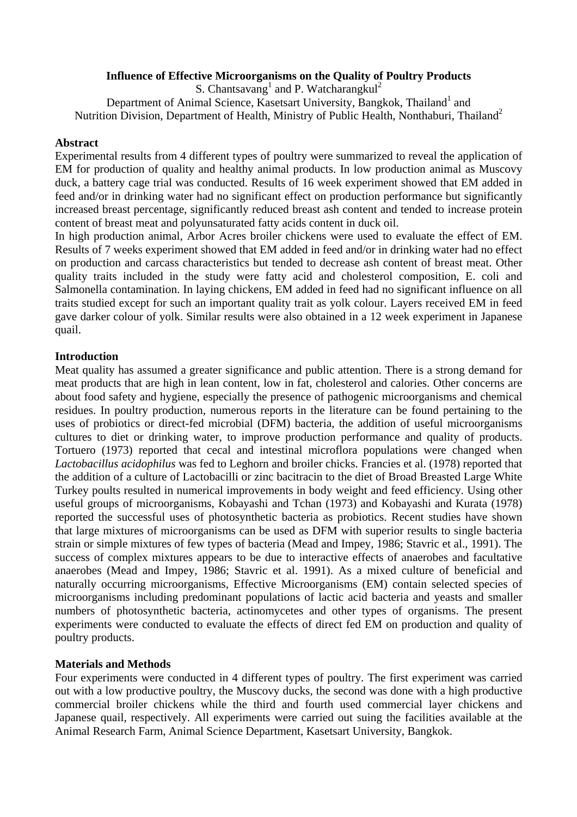## **Influence of Effective Microorganisms on the Quality of Poultry Products**

S. Chantsavang<sup>1</sup> and P. Watcharangkul<sup>2</sup> Department of Animal Science, Kasetsart University, Bangkok, Thailand<sup>1</sup> and Nutrition Division, Department of Health, Ministry of Public Health, Nonthaburi, Thailand<sup>2</sup>

#### **Abstract**

Experimental results from 4 different types of poultry were summarized to reveal the application of EM for production of quality and healthy animal products. In low production animal as Muscovy duck, a battery cage trial was conducted. Results of 16 week experiment showed that EM added in feed and/or in drinking water had no significant effect on production performance but significantly increased breast percentage, significantly reduced breast ash content and tended to increase protein content of breast meat and polyunsaturated fatty acids content in duck oil.

In high production animal, Arbor Acres broiler chickens were used to evaluate the effect of EM. Results of 7 weeks experiment showed that EM added in feed and/or in drinking water had no effect on production and carcass characteristics but tended to decrease ash content of breast meat. Other quality traits included in the study were fatty acid and cholesterol composition, E. coli and Salmonella contamination. In laying chickens, EM added in feed had no significant influence on all traits studied except for such an important quality trait as yolk colour. Layers received EM in feed gave darker colour of yolk. Similar results were also obtained in a 12 week experiment in Japanese quail.

#### **Introduction**

Meat quality has assumed a greater significance and public attention. There is a strong demand for meat products that are high in lean content, low in fat, cholesterol and calories. Other concerns are about food safety and hygiene, especially the presence of pathogenic microorganisms and chemical residues. In poultry production, numerous reports in the literature can be found pertaining to the uses of probiotics or direct-fed microbial (DFM) bacteria, the addition of useful microorganisms cultures to diet or drinking water, to improve production performance and quality of products. Tortuero (1973) reported that cecal and intestinal microflora populations were changed when *Lactobacillus acidophilus* was fed to Leghorn and broiler chicks. Francies et al. (1978) reported that the addition of a culture of Lactobacilli or zinc bacitracin to the diet of Broad Breasted Large White Turkey poults resulted in numerical improvements in body weight and feed efficiency. Using other useful groups of microorganisms, Kobayashi and Tchan (1973) and Kobayashi and Kurata (1978) reported the successful uses of photosynthetic bacteria as probiotics. Recent studies have shown that large mixtures of microorganisms can be used as DFM with superior results to single bacteria strain or simple mixtures of few types of bacteria (Mead and Impey, 1986; Stavric et al., 1991). The success of complex mixtures appears to be due to interactive effects of anaerobes and facultative anaerobes (Mead and Impey, 1986; Stavric et al. 1991). As a mixed culture of beneficial and naturally occurring microorganisms, Effective Microorganisms (EM) contain selected species of microorganisms including predominant populations of lactic acid bacteria and yeasts and smaller numbers of photosynthetic bacteria, actinomycetes and other types of organisms. The present experiments were conducted to evaluate the effects of direct fed EM on production and quality of poultry products.

#### **Materials and Methods**

Four experiments were conducted in 4 different types of poultry. The first experiment was carried out with a low productive poultry, the Muscovy ducks, the second was done with a high productive commercial broiler chickens while the third and fourth used commercial layer chickens and Japanese quail, respectively. All experiments were carried out suing the facilities available at the Animal Research Farm, Animal Science Department, Kasetsart University, Bangkok.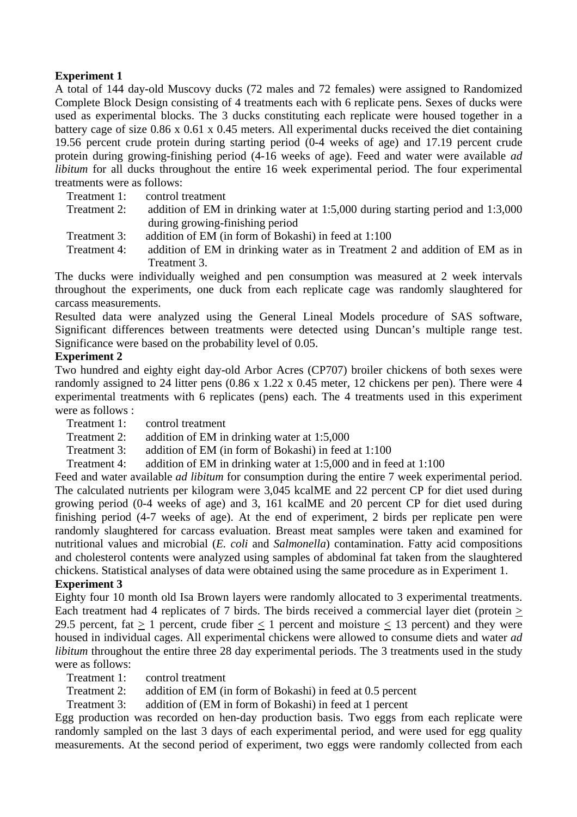# **Experiment 1**

A total of 144 day-old Muscovy ducks (72 males and 72 females) were assigned to Randomized Complete Block Design consisting of 4 treatments each with 6 replicate pens. Sexes of ducks were used as experimental blocks. The 3 ducks constituting each replicate were housed together in a battery cage of size 0.86 x 0.61 x 0.45 meters. All experimental ducks received the diet containing 19.56 percent crude protein during starting period (0-4 weeks of age) and 17.19 percent crude protein during growing-finishing period (4-16 weeks of age). Feed and water were available *ad libitum* for all ducks throughout the entire 16 week experimental period. The four experimental treatments were as follows:

- Treatment 1: control treatment
- Treatment 2: addition of EM in drinking water at 1:5,000 during starting period and 1:3,000 during growing-finishing period
- Treatment 3: addition of EM (in form of Bokashi) in feed at 1:100
- Treatment 4: addition of EM in drinking water as in Treatment 2 and addition of EM as in Treatment 3.

The ducks were individually weighed and pen consumption was measured at 2 week intervals throughout the experiments, one duck from each replicate cage was randomly slaughtered for carcass measurements.

Resulted data were analyzed using the General Lineal Models procedure of SAS software, Significant differences between treatments were detected using Duncan's multiple range test. Significance were based on the probability level of 0.05.

# **Experiment 2**

Two hundred and eighty eight day-old Arbor Acres (CP707) broiler chickens of both sexes were randomly assigned to 24 litter pens (0.86 x 1.22 x 0.45 meter, 12 chickens per pen). There were 4 experimental treatments with 6 replicates (pens) each. The 4 treatments used in this experiment were as follows :

Treatment 1: control treatment

Treatment 2: addition of EM in drinking water at 1:5,000

- Treatment 3: addition of EM (in form of Bokashi) in feed at 1:100
- Treatment 4: addition of EM in drinking water at 1:5,000 and in feed at 1:100

Feed and water available *ad libitum* for consumption during the entire 7 week experimental period. The calculated nutrients per kilogram were 3,045 kcalME and 22 percent CP for diet used during growing period (0-4 weeks of age) and 3, 161 kcalME and 20 percent CP for diet used during finishing period (4-7 weeks of age). At the end of experiment, 2 birds per replicate pen were randomly slaughtered for carcass evaluation. Breast meat samples were taken and examined for nutritional values and microbial (*E. coli* and *Salmonella*) contamination. Fatty acid compositions and cholesterol contents were analyzed using samples of abdominal fat taken from the slaughtered chickens. Statistical analyses of data were obtained using the same procedure as in Experiment 1.

#### **Experiment 3**

Eighty four 10 month old Isa Brown layers were randomly allocated to 3 experimental treatments. Each treatment had 4 replicates of 7 birds. The birds received a commercial layer diet (protein  $\geq$ 29.5 percent, fat  $> 1$  percent, crude fiber  $< 1$  percent and moisture  $< 13$  percent) and they were housed in individual cages. All experimental chickens were allowed to consume diets and water *ad libitum* throughout the entire three 28 day experimental periods. The 3 treatments used in the study were as follows:

Treatment 1: control treatment

Treatment 2: addition of EM (in form of Bokashi) in feed at 0.5 percent

Treatment 3: addition of (EM in form of Bokashi) in feed at 1 percent

Egg production was recorded on hen-day production basis. Two eggs from each replicate were randomly sampled on the last 3 days of each experimental period, and were used for egg quality measurements. At the second period of experiment, two eggs were randomly collected from each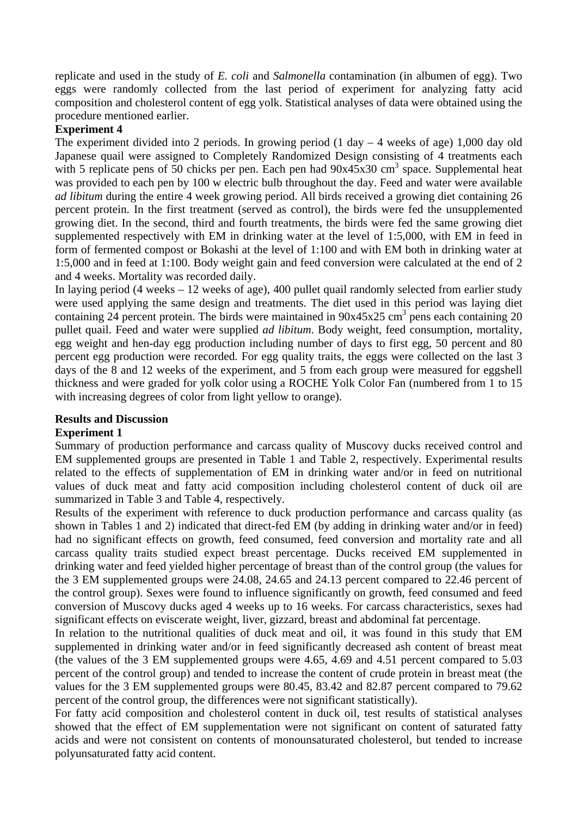replicate and used in the study of *E. coli* and *Salmonella* contamination (in albumen of egg). Two eggs were randomly collected from the last period of experiment for analyzing fatty acid composition and cholesterol content of egg yolk. Statistical analyses of data were obtained using the procedure mentioned earlier.

# **Experiment 4**

The experiment divided into 2 periods. In growing period  $(1 \text{ day} - 4 \text{ weeks of age})$  1,000 day old Japanese quail were assigned to Completely Randomized Design consisting of 4 treatments each with 5 replicate pens of 50 chicks per pen. Each pen had  $90x45x30$  cm<sup>3</sup> space. Supplemental heat was provided to each pen by 100 w electric bulb throughout the day. Feed and water were available *ad libitum* during the entire 4 week growing period. All birds received a growing diet containing 26 percent protein. In the first treatment (served as control), the birds were fed the unsupplemented growing diet. In the second, third and fourth treatments, the birds were fed the same growing diet supplemented respectively with EM in drinking water at the level of 1:5,000, with EM in feed in form of fermented compost or Bokashi at the level of 1:100 and with EM both in drinking water at 1:5,000 and in feed at 1:100. Body weight gain and feed conversion were calculated at the end of 2 and 4 weeks. Mortality was recorded daily.

In laying period (4 weeks – 12 weeks of age), 400 pullet quail randomly selected from earlier study were used applying the same design and treatments. The diet used in this period was laying diet containing 24 percent protein. The birds were maintained in  $90x45x25$  cm<sup>3</sup> pens each containing 20 pullet quail. Feed and water were supplied *ad libitum*. Body weight, feed consumption, mortality, egg weight and hen-day egg production including number of days to first egg, 50 percent and 80 percent egg production were recorded. For egg quality traits, the eggs were collected on the last 3 days of the 8 and 12 weeks of the experiment, and 5 from each group were measured for eggshell thickness and were graded for yolk color using a ROCHE Yolk Color Fan (numbered from 1 to 15 with increasing degrees of color from light yellow to orange).

#### **Results and Discussion**

# **Experiment 1**

Summary of production performance and carcass quality of Muscovy ducks received control and EM supplemented groups are presented in Table 1 and Table 2, respectively. Experimental results related to the effects of supplementation of EM in drinking water and/or in feed on nutritional values of duck meat and fatty acid composition including cholesterol content of duck oil are summarized in Table 3 and Table 4, respectively.

Results of the experiment with reference to duck production performance and carcass quality (as shown in Tables 1 and 2) indicated that direct-fed EM (by adding in drinking water and/or in feed) had no significant effects on growth, feed consumed, feed conversion and mortality rate and all carcass quality traits studied expect breast percentage. Ducks received EM supplemented in drinking water and feed yielded higher percentage of breast than of the control group (the values for the 3 EM supplemented groups were 24.08, 24.65 and 24.13 percent compared to 22.46 percent of the control group). Sexes were found to influence significantly on growth, feed consumed and feed conversion of Muscovy ducks aged 4 weeks up to 16 weeks. For carcass characteristics, sexes had significant effects on eviscerate weight, liver, gizzard, breast and abdominal fat percentage.

In relation to the nutritional qualities of duck meat and oil, it was found in this study that EM supplemented in drinking water and/or in feed significantly decreased ash content of breast meat (the values of the 3 EM supplemented groups were 4.65, 4.69 and 4.51 percent compared to 5.03 percent of the control group) and tended to increase the content of crude protein in breast meat (the values for the 3 EM supplemented groups were 80.45, 83.42 and 82.87 percent compared to 79.62 percent of the control group, the differences were not significant statistically).

For fatty acid composition and cholesterol content in duck oil, test results of statistical analyses showed that the effect of EM supplementation were not significant on content of saturated fatty acids and were not consistent on contents of monounsaturated cholesterol, but tended to increase polyunsaturated fatty acid content.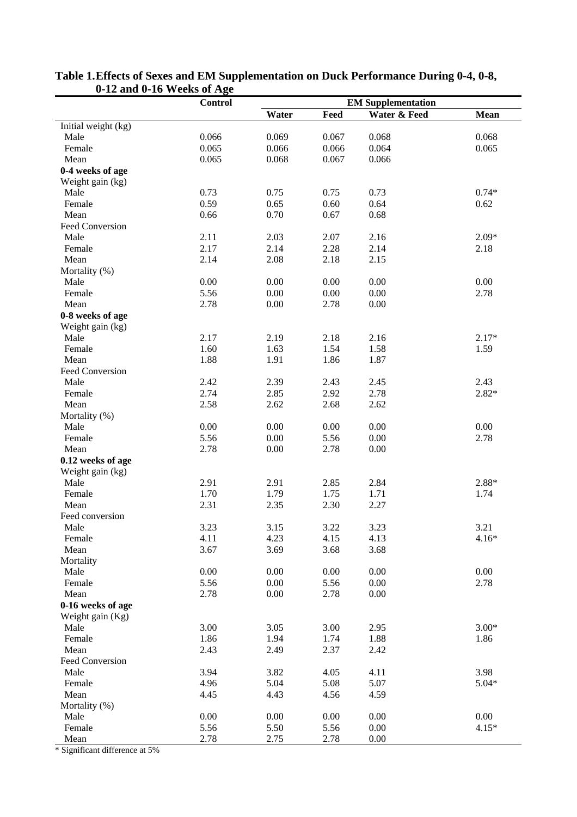| Water & Feed<br>Water<br>Feed<br><b>Mean</b><br>Initial weight (kg)<br>0.066<br>Male<br>0.069<br>0.067<br>0.068<br>0.068<br>0.065<br>0.066<br>0.066<br>0.064<br>0.065<br>Female<br>0.068<br>0.066<br>Mean<br>0.065<br>0.067<br>0-4 weeks of age<br>Weight gain (kg)<br>Male<br>0.73<br>0.75<br>0.75<br>0.73<br>$0.74*$<br>0.59<br>0.65<br>0.60<br>0.64<br>0.62<br>Female<br>0.70<br>Mean<br>0.66<br>0.67<br>0.68<br>Feed Conversion<br>2.11<br>2.03<br>2.07<br>2.16<br>$2.09*$<br>Male<br>2.17<br>2.14<br>2.28<br>2.14<br>Female<br>2.18<br>2.08<br>2.18<br>2.15<br>Mean<br>2.14<br>Mortality (%) |      | <b>Control</b> |      |      | <b>EM Supplementation</b> |      |
|---------------------------------------------------------------------------------------------------------------------------------------------------------------------------------------------------------------------------------------------------------------------------------------------------------------------------------------------------------------------------------------------------------------------------------------------------------------------------------------------------------------------------------------------------------------------------------------------------|------|----------------|------|------|---------------------------|------|
|                                                                                                                                                                                                                                                                                                                                                                                                                                                                                                                                                                                                   |      |                |      |      |                           |      |
|                                                                                                                                                                                                                                                                                                                                                                                                                                                                                                                                                                                                   |      |                |      |      |                           |      |
|                                                                                                                                                                                                                                                                                                                                                                                                                                                                                                                                                                                                   |      |                |      |      |                           |      |
|                                                                                                                                                                                                                                                                                                                                                                                                                                                                                                                                                                                                   |      |                |      |      |                           |      |
|                                                                                                                                                                                                                                                                                                                                                                                                                                                                                                                                                                                                   |      |                |      |      |                           |      |
|                                                                                                                                                                                                                                                                                                                                                                                                                                                                                                                                                                                                   |      |                |      |      |                           |      |
|                                                                                                                                                                                                                                                                                                                                                                                                                                                                                                                                                                                                   |      |                |      |      |                           |      |
|                                                                                                                                                                                                                                                                                                                                                                                                                                                                                                                                                                                                   |      |                |      |      |                           |      |
|                                                                                                                                                                                                                                                                                                                                                                                                                                                                                                                                                                                                   |      |                |      |      |                           |      |
|                                                                                                                                                                                                                                                                                                                                                                                                                                                                                                                                                                                                   |      |                |      |      |                           |      |
|                                                                                                                                                                                                                                                                                                                                                                                                                                                                                                                                                                                                   |      |                |      |      |                           |      |
|                                                                                                                                                                                                                                                                                                                                                                                                                                                                                                                                                                                                   |      |                |      |      |                           |      |
|                                                                                                                                                                                                                                                                                                                                                                                                                                                                                                                                                                                                   |      |                |      |      |                           |      |
|                                                                                                                                                                                                                                                                                                                                                                                                                                                                                                                                                                                                   |      |                |      |      |                           |      |
|                                                                                                                                                                                                                                                                                                                                                                                                                                                                                                                                                                                                   |      |                |      |      |                           |      |
|                                                                                                                                                                                                                                                                                                                                                                                                                                                                                                                                                                                                   | Male | 0.00           | 0.00 | 0.00 | 0.00                      | 0.00 |
| 5.56<br>0.00<br>0.00<br>0.00<br>Female<br>2.78                                                                                                                                                                                                                                                                                                                                                                                                                                                                                                                                                    |      |                |      |      |                           |      |
| 0.00<br>2.78<br>0.00<br>Mean<br>2.78                                                                                                                                                                                                                                                                                                                                                                                                                                                                                                                                                              |      |                |      |      |                           |      |
| 0-8 weeks of age                                                                                                                                                                                                                                                                                                                                                                                                                                                                                                                                                                                  |      |                |      |      |                           |      |
| Weight gain (kg)                                                                                                                                                                                                                                                                                                                                                                                                                                                                                                                                                                                  |      |                |      |      |                           |      |
| 2.16<br>Male<br>2.17<br>2.19<br>2.18<br>$2.17*$                                                                                                                                                                                                                                                                                                                                                                                                                                                                                                                                                   |      |                |      |      |                           |      |
| 1.54<br>1.58<br>1.60<br>1.63<br>1.59<br>Female                                                                                                                                                                                                                                                                                                                                                                                                                                                                                                                                                    |      |                |      |      |                           |      |
| 1.88<br>1.91<br>1.86<br>1.87<br>Mean                                                                                                                                                                                                                                                                                                                                                                                                                                                                                                                                                              |      |                |      |      |                           |      |
| Feed Conversion                                                                                                                                                                                                                                                                                                                                                                                                                                                                                                                                                                                   |      |                |      |      |                           |      |
| Male<br>2.42<br>2.39<br>2.43<br>2.45<br>2.43                                                                                                                                                                                                                                                                                                                                                                                                                                                                                                                                                      |      |                |      |      |                           |      |
| 2.74<br>2.85<br>2.92<br>2.78<br>$2.82*$<br>Female                                                                                                                                                                                                                                                                                                                                                                                                                                                                                                                                                 |      |                |      |      |                           |      |
| 2.58<br>2.62<br>2.68<br>2.62<br>Mean                                                                                                                                                                                                                                                                                                                                                                                                                                                                                                                                                              |      |                |      |      |                           |      |
| Mortality (%)                                                                                                                                                                                                                                                                                                                                                                                                                                                                                                                                                                                     |      |                |      |      |                           |      |
| 0.00<br>0.00<br>0.00<br>0.00<br>Male<br>0.00                                                                                                                                                                                                                                                                                                                                                                                                                                                                                                                                                      |      |                |      |      |                           |      |
| 5.56<br>0.00<br>5.56<br>0.00<br>Female<br>2.78                                                                                                                                                                                                                                                                                                                                                                                                                                                                                                                                                    |      |                |      |      |                           |      |
| 2.78<br>0.00<br>Mean<br>2.78<br>0.00                                                                                                                                                                                                                                                                                                                                                                                                                                                                                                                                                              |      |                |      |      |                           |      |
| 0.12 weeks of age                                                                                                                                                                                                                                                                                                                                                                                                                                                                                                                                                                                 |      |                |      |      |                           |      |
| Weight gain (kg)                                                                                                                                                                                                                                                                                                                                                                                                                                                                                                                                                                                  |      |                |      |      |                           |      |
| Male<br>2.91<br>2.84<br>2.91<br>2.85<br>2.88*                                                                                                                                                                                                                                                                                                                                                                                                                                                                                                                                                     |      |                |      |      |                           |      |
| 1.70<br>1.79<br>1.75<br>1.71<br>1.74<br>Female                                                                                                                                                                                                                                                                                                                                                                                                                                                                                                                                                    |      |                |      |      |                           |      |
| Mean<br>2.31<br>2.35<br>2.30<br>2.27                                                                                                                                                                                                                                                                                                                                                                                                                                                                                                                                                              |      |                |      |      |                           |      |
| Feed conversion                                                                                                                                                                                                                                                                                                                                                                                                                                                                                                                                                                                   |      |                |      |      |                           |      |
| 3.21<br>3.23<br>3.15<br>3.22<br>3.23<br>Male                                                                                                                                                                                                                                                                                                                                                                                                                                                                                                                                                      |      |                |      |      |                           |      |
| 4.11<br>4.23<br>4.15<br>4.13<br>$4.16*$<br>Female                                                                                                                                                                                                                                                                                                                                                                                                                                                                                                                                                 |      |                |      |      |                           |      |
| 3.67<br>Mean<br>3.69<br>3.68<br>3.68                                                                                                                                                                                                                                                                                                                                                                                                                                                                                                                                                              |      |                |      |      |                           |      |
| Mortality                                                                                                                                                                                                                                                                                                                                                                                                                                                                                                                                                                                         |      |                |      |      |                           |      |
| 0.00<br>0.00<br>0.00<br>0.00<br>0.00<br>Male                                                                                                                                                                                                                                                                                                                                                                                                                                                                                                                                                      |      |                |      |      |                           |      |
| 0.00<br>5.56<br>0.00<br>Female<br>5.56<br>2.78                                                                                                                                                                                                                                                                                                                                                                                                                                                                                                                                                    |      |                |      |      |                           |      |
| 2.78<br>Mean<br>2.78<br>0.00<br>0.00                                                                                                                                                                                                                                                                                                                                                                                                                                                                                                                                                              |      |                |      |      |                           |      |
| 0-16 weeks of age                                                                                                                                                                                                                                                                                                                                                                                                                                                                                                                                                                                 |      |                |      |      |                           |      |
| Weight gain (Kg)                                                                                                                                                                                                                                                                                                                                                                                                                                                                                                                                                                                  |      |                |      |      |                           |      |
| $3.00*$<br>3.00<br>3.05<br>3.00<br>2.95<br>Male                                                                                                                                                                                                                                                                                                                                                                                                                                                                                                                                                   |      |                |      |      |                           |      |
| Female<br>1.86<br>1.94<br>1.74<br>1.88<br>1.86                                                                                                                                                                                                                                                                                                                                                                                                                                                                                                                                                    |      |                |      |      |                           |      |
| Mean<br>2.43<br>2.49<br>2.37<br>2.42                                                                                                                                                                                                                                                                                                                                                                                                                                                                                                                                                              |      |                |      |      |                           |      |
| Feed Conversion                                                                                                                                                                                                                                                                                                                                                                                                                                                                                                                                                                                   |      |                |      |      |                           |      |
| Male<br>3.94<br>3.82<br>4.05<br>4.11<br>3.98                                                                                                                                                                                                                                                                                                                                                                                                                                                                                                                                                      |      |                |      |      |                           |      |
| 4.96<br>5.04<br>5.08<br>5.07<br>$5.04*$<br>Female                                                                                                                                                                                                                                                                                                                                                                                                                                                                                                                                                 |      |                |      |      |                           |      |
| Mean<br>4.45<br>4.56<br>4.59<br>4.43                                                                                                                                                                                                                                                                                                                                                                                                                                                                                                                                                              |      |                |      |      |                           |      |
| Mortality (%)                                                                                                                                                                                                                                                                                                                                                                                                                                                                                                                                                                                     |      |                |      |      |                           |      |
| 0.00<br>Male<br>0.00<br>0.00<br>0.00<br>0.00                                                                                                                                                                                                                                                                                                                                                                                                                                                                                                                                                      |      |                |      |      |                           |      |
| 5.56<br>5.56<br>0.00<br>Female<br>5.50<br>$4.15*$                                                                                                                                                                                                                                                                                                                                                                                                                                                                                                                                                 |      |                |      |      |                           |      |
| 2.78<br>2.75<br>2.78<br>0.00<br>Mean                                                                                                                                                                                                                                                                                                                                                                                                                                                                                                                                                              |      |                |      |      |                           |      |

# **Table 1. Effects of Sexes and EM Supplementation on Duck Performance During 0-4, 0-8, 0-12 and 0-16 Weeks of Age**

\* Significant difference at 5%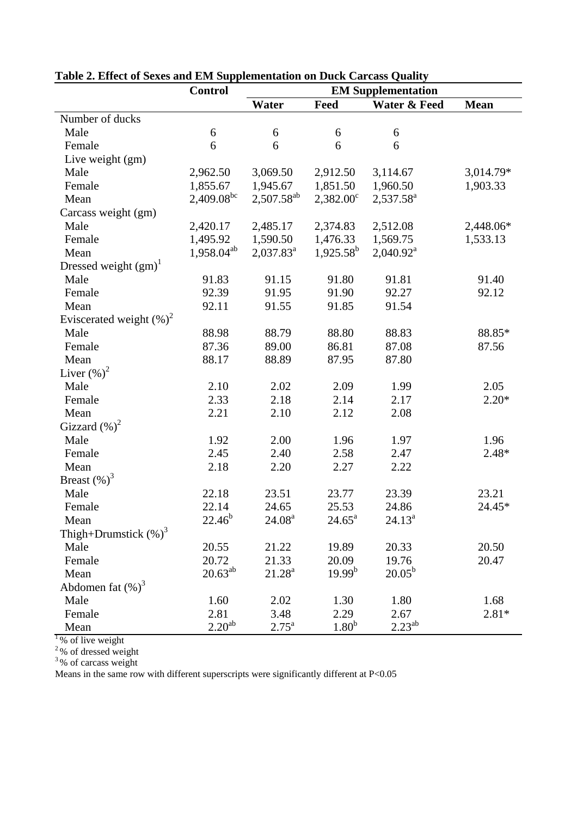|                             | <b>Control</b>         | <b>EM Supplementation</b> |                    |                         |             |
|-----------------------------|------------------------|---------------------------|--------------------|-------------------------|-------------|
|                             |                        | Water                     | Feed               | <b>Water &amp; Feed</b> | <b>Mean</b> |
| Number of ducks             |                        |                           |                    |                         |             |
| Male                        | 6                      | 6                         | 6                  | 6                       |             |
| Female                      | 6                      | 6                         | 6                  | 6                       |             |
| Live weight (gm)            |                        |                           |                    |                         |             |
| Male                        | 2,962.50               | 3,069.50                  | 2,912.50           | 3,114.67                | 3,014.79*   |
| Female                      | 1,855.67               | 1,945.67                  | 1,851.50           | 1,960.50                | 1,903.33    |
| Mean                        | 2,409.08 <sup>bc</sup> | $2,507.58^{ab}$           | $2,382.00^{\circ}$ | 2,537.58 <sup>a</sup>   |             |
| Carcass weight (gm)         |                        |                           |                    |                         |             |
| Male                        | 2,420.17               | 2,485.17                  | 2,374.83           | 2,512.08                | 2,448.06*   |
| Female                      | 1,495.92               | 1,590.50                  | 1,476.33           | 1,569.75                | 1,533.13    |
| Mean                        | 1,958.04 <sup>ab</sup> | $2,037.83^a$              | $1,925.58^b$       | 2,040.92 <sup>a</sup>   |             |
| Dressed weight $(gm)^{1}$   |                        |                           |                    |                         |             |
| Male                        | 91.83                  | 91.15                     | 91.80              | 91.81                   | 91.40       |
| Female                      | 92.39                  | 91.95                     | 91.90              | 92.27                   | 92.12       |
| Mean                        | 92.11                  | 91.55                     | 91.85              | 91.54                   |             |
| Eviscerated weight $(\%)^2$ |                        |                           |                    |                         |             |
| Male                        | 88.98                  | 88.79                     | 88.80              | 88.83                   | 88.85*      |
| Female                      | 87.36                  | 89.00                     | 86.81              | 87.08                   | 87.56       |
| Mean                        | 88.17                  | 88.89                     | 87.95              | 87.80                   |             |
| Liver $(\%)^2$              |                        |                           |                    |                         |             |
| Male                        | 2.10                   | 2.02                      | 2.09               | 1.99                    | 2.05        |
| Female                      | 2.33                   | 2.18                      | 2.14               | 2.17                    | $2.20*$     |
| Mean                        | 2.21                   | 2.10                      | 2.12               | 2.08                    |             |
| Gizzard $(\%)^2$            |                        |                           |                    |                         |             |
| Male                        | 1.92                   | 2.00                      | 1.96               | 1.97                    | 1.96        |
| Female                      | 2.45                   | 2.40                      | 2.58               | 2.47                    | $2.48*$     |
| Mean                        | 2.18                   | 2.20                      | 2.27               | 2.22                    |             |
| Breast $(\%)^3$             |                        |                           |                    |                         |             |
| Male                        | 22.18                  | 23.51                     | 23.77              | 23.39                   | 23.21       |
| Female                      | 22.14                  | 24.65                     | 25.53              | 24.86                   | 24.45*      |
| Mean                        | $22.46^{b}$            | 24.08 <sup>a</sup>        | $24.65^{\circ}$    | $24.13^a$               |             |
| Thigh+Drumstick $(\%)^3$    |                        |                           |                    |                         |             |
| Male                        | 20.55                  | 21.22                     | 19.89              | 20.33                   | 20.50       |
| Female                      | 20.72                  | 21.33                     | 20.09              | 19.76                   | 20.47       |
| Mean                        | $20.63^{ab}$           | $21.28^a$                 | $19.99^{b}$        | $20.05^{\rm b}$         |             |
| Abdomen fat $(\%)^3$        |                        |                           |                    |                         |             |
| Male                        | 1.60                   | 2.02                      | 1.30               | 1.80                    | 1.68        |
| Female                      | 2.81                   | 3.48                      | 2.29               | 2.67                    | $2.81*$     |
| Mean                        | 2.20 <sup>ab</sup>     | $2.75^{\rm a}$            | 1.80 <sup>b</sup>  | $2.23^{ab}$             |             |

**Table 2. Effect of Sexes and EM Supplementation on Duck Carcass Quality** 

 $1\%$  of live weight

 $2\%$  of dressed weight

 $3\%$  of carcass weight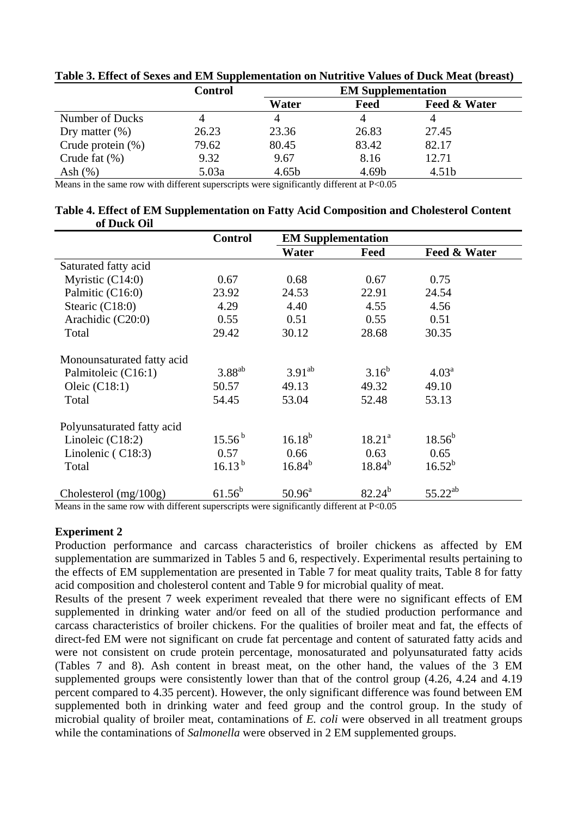|                      | <b>Control</b> | <b>EM Supplementation</b> |       |                   |
|----------------------|----------------|---------------------------|-------|-------------------|
|                      |                | Water                     | Feed  | Feed & Water      |
| Number of Ducks      |                |                           | 4     |                   |
| Dry matter $(\%)$    | 26.23          | 23.36                     | 26.83 | 27.45             |
| Crude protein $(\%)$ | 79.62          | 80.45                     | 83.42 | 82.17             |
| Crude fat $(\% )$    | 9.32           | 9.67                      | 8.16  | 12.71             |
| Ash $(\%)$           | 5.03a          | 4.65 <sub>b</sub>         | 4.69b | 4.51 <sub>b</sub> |

**Table 3. Effect of Sexes and EM Supplementation on Nutritive Values of Duck Meat (breast)** 

Means in the same row with different superscripts were significantly different at P<0.05

#### **Table 4. Effect of EM Supplementation on Fatty Acid Composition and Cholesterol Content of Duck Oil**

|                            | <b>Control</b> | <b>EM Supplementation</b> |                 |                   |
|----------------------------|----------------|---------------------------|-----------------|-------------------|
|                            |                | Water                     | Feed            | Feed & Water      |
| Saturated fatty acid       |                |                           |                 |                   |
| Myristic $(C14:0)$         | 0.67           | 0.68                      | 0.67            | 0.75              |
| Palmitic (C16:0)           | 23.92          | 24.53                     | 22.91           | 24.54             |
| Stearic (C18:0)            | 4.29           | 4.40                      | 4.55            | 4.56              |
| Arachidic (C20:0)          | 0.55           | 0.51                      | 0.55            | 0.51              |
| Total                      | 29.42          | 30.12                     | 28.68           | 30.35             |
| Monounsaturated fatty acid |                |                           |                 |                   |
| Palmitoleic (C16:1)        | $3.88^{ab}$    | $3.91^{ab}$               | $3.16^{b}$      | 4.03 <sup>a</sup> |
| Oleic $(C18:1)$            | 50.57          | 49.13                     | 49.32           | 49.10             |
| Total                      | 54.45          | 53.04                     | 52.48           | 53.13             |
| Polyunsaturated fatty acid |                |                           |                 |                   |
| Linoleic $(C18:2)$         | $15.56^{b}$    | $16.18^{b}$               | $18.21^{\circ}$ | $18.56^{b}$       |
| Linolenic $(C18:3)$        | 0.57           | 0.66                      | 0.63            | 0.65              |
| Total                      | $16.13^{b}$    | $16.84^{b}$               | $18.84^{b}$     | $16.52^{b}$       |
| Cholesterol (mg/100g)      | $61.56^{b}$    | $50.96^{\circ}$           | $82.24^{b}$     | $55.22^{ab}$      |

Means in the same row with different superscripts were significantly different at P<0.05

#### **Experiment 2**

Production performance and carcass characteristics of broiler chickens as affected by EM supplementation are summarized in Tables 5 and 6, respectively. Experimental results pertaining to the effects of EM supplementation are presented in Table 7 for meat quality traits, Table 8 for fatty acid composition and cholesterol content and Table 9 for microbial quality of meat.

Results of the present 7 week experiment revealed that there were no significant effects of EM supplemented in drinking water and/or feed on all of the studied production performance and carcass characteristics of broiler chickens. For the qualities of broiler meat and fat, the effects of direct-fed EM were not significant on crude fat percentage and content of saturated fatty acids and were not consistent on crude protein percentage, monosaturated and polyunsaturated fatty acids (Tables 7 and 8). Ash content in breast meat, on the other hand, the values of the 3 EM supplemented groups were consistently lower than that of the control group  $(4.26, 4.24, 4.19)$ percent compared to 4.35 percent). However, the only significant difference was found between EM supplemented both in drinking water and feed group and the control group. In the study of microbial quality of broiler meat, contaminations of *E. coli* were observed in all treatment groups while the contaminations of *Salmonella* were observed in 2 EM supplemented groups.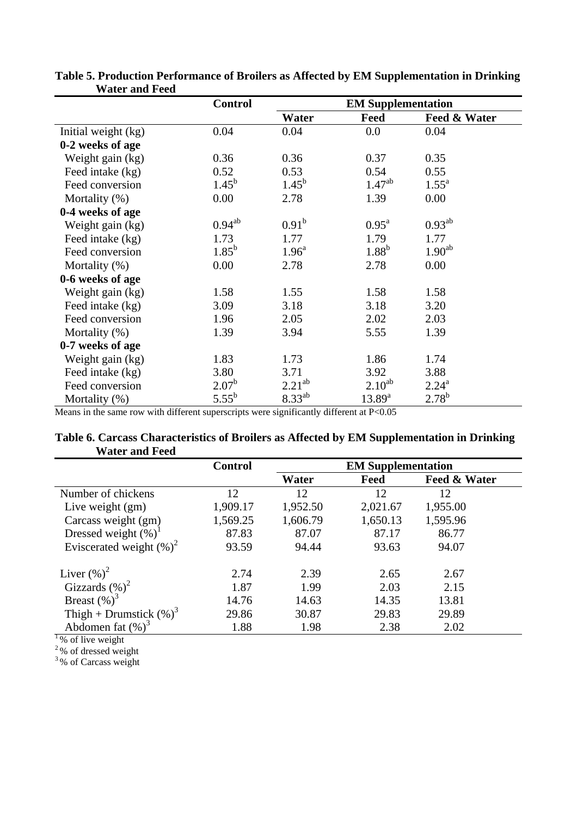|                     | <b>Control</b> |                   | <b>EM Supplementation</b> |                    |
|---------------------|----------------|-------------------|---------------------------|--------------------|
|                     |                | Water             | Feed                      | Feed & Water       |
| Initial weight (kg) | 0.04           | 0.04              | $0.0\,$                   | 0.04               |
| 0-2 weeks of age    |                |                   |                           |                    |
| Weight gain (kg)    | 0.36           | 0.36              | 0.37                      | 0.35               |
| Feed intake (kg)    | 0.52           | 0.53              | 0.54                      | 0.55               |
| Feed conversion     | $1.45^{b}$     | $1.45^{\rm b}$    | $1.47^{ab}$               | $1.55^{\rm a}$     |
| Mortality (%)       | 0.00           | 2.78              | 1.39                      | 0.00               |
| 0-4 weeks of age    |                |                   |                           |                    |
| Weight gain (kg)    | $0.94^{ab}$    | $0.91^{\rm b}$    | $0.95^{\text{a}}$         | $0.93^{ab}$        |
| Feed intake (kg)    | 1.73           | 1.77              | 1.79                      | 1.77               |
| Feed conversion     | $1.85^{b}$     | 1.96 <sup>a</sup> | $1.88^{b}$                | 1.90 <sup>ab</sup> |
| Mortality (%)       | 0.00           | 2.78              | 2.78                      | 0.00               |
| 0-6 weeks of age    |                |                   |                           |                    |
| Weight gain (kg)    | 1.58           | 1.55              | 1.58                      | 1.58               |
| Feed intake (kg)    | 3.09           | 3.18              | 3.18                      | 3.20               |
| Feed conversion     | 1.96           | 2.05              | 2.02                      | 2.03               |
| Mortality (%)       | 1.39           | 3.94              | 5.55                      | 1.39               |
| 0-7 weeks of age    |                |                   |                           |                    |
| Weight gain (kg)    | 1.83           | 1.73              | 1.86                      | 1.74               |
| Feed intake (kg)    | 3.80           | 3.71              | 3.92                      | 3.88               |
| Feed conversion     | $2.07^{\rm b}$ | $2.21^{ab}$       | $2.10^{ab}$               | $2.24^{\rm a}$     |
| Mortality (%)       | $5.55^{b}$     | $8.33^{ab}$       | $13.89^{a}$               | $2.78^{b}$         |

**Table 5. Production Performance of Broilers as Affected by EM Supplementation in Drinking Water and Feed** 

Means in the same row with different superscripts were significantly different at P<0.05

|                       | Table 6. Carcass Characteristics of Broilers as Affected by EM Supplementation in Drinking |  |  |
|-----------------------|--------------------------------------------------------------------------------------------|--|--|
| <b>Water and Feed</b> |                                                                                            |  |  |

|                             | <b>Control</b> | <b>EM Supplementation</b> |          |              |
|-----------------------------|----------------|---------------------------|----------|--------------|
|                             |                | Water                     | Feed     | Feed & Water |
| Number of chickens          | 12             | 12                        | 12       | 12           |
| Live weight $(gm)$          | 1,909.17       | 1,952.50                  | 2,021.67 | 1,955.00     |
| Carcass weight (gm)         | 1,569.25       | 1,606.79                  | 1,650.13 | 1,595.96     |
| Dressed weight $(\%)^1$     | 87.83          | 87.07                     | 87.17    | 86.77        |
| Eviscerated weight $(\%)^2$ | 93.59          | 94.44                     | 93.63    | 94.07        |
| Liver $(\%)^2$              | 2.74           | 2.39                      | 2.65     | 2.67         |
| Gizzards $(\%)^2$           | 1.87           | 1.99                      | 2.03     | 2.15         |
| Breast $(\%)^3$             | 14.76          | 14.63                     | 14.35    | 13.81        |
| Thigh + Drumstick $(\%)^3$  | 29.86          | 30.87                     | 29.83    | 29.89        |
| Abdomen fat $(\%)^3$        | 1.88           | 1.98                      | 2.38     | 2.02         |
| $1\%$ of live weight        |                |                           |          |              |

 $2\%$  of dressed weight

<sup>3</sup>% of Carcass weight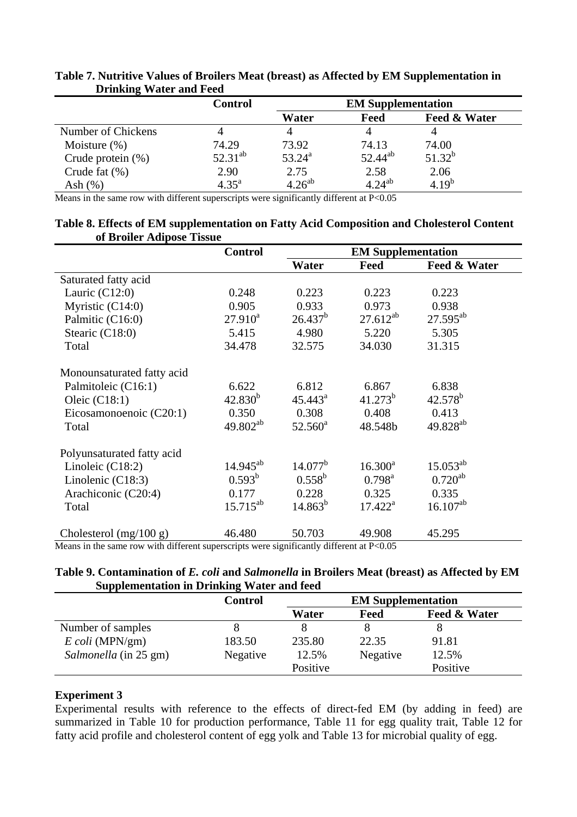| $\overline{\phantom{a}}$ | <b>Control</b> | <b>EM Supplementation</b> |              |              |
|--------------------------|----------------|---------------------------|--------------|--------------|
|                          |                | Water                     | Feed         | Feed & Water |
| Number of Chickens       |                |                           |              |              |
| Moisture $(\%)$          | 74.29          | 73.92                     | 74.13        | 74.00        |
| Crude protein $(\%)$     | $52.31^{ab}$   | $53.24^{\rm a}$           | $52.44^{ab}$ | $51.32^{b}$  |
| Crude fat $(\%)$         | 2.90           | 2.75                      | 2.58         | 2.06         |
| Ash $(\%)$               | $4.35^{a}$     | $4.26^{ab}$               | $4.24^{ab}$  | $4.19^{b}$   |

# **Table 7. Nutritive Values of Broilers Meat (breast) as Affected by EM Supplementation in Drinking Water and Feed**

Means in the same row with different superscripts were significantly different at P<0.05

#### **Table 8. Effects of EM supplementation on Fatty Acid Composition and Cholesterol Content of Broiler Adipose Tissue**

|                                                                                                                          | <b>Control</b> | <b>EM Supplementation</b> |                  |                      |
|--------------------------------------------------------------------------------------------------------------------------|----------------|---------------------------|------------------|----------------------|
|                                                                                                                          |                | Water                     | Feed             | Feed & Water         |
| Saturated fatty acid                                                                                                     |                |                           |                  |                      |
| Lauric $(C12:0)$                                                                                                         | 0.248          | 0.223                     | 0.223            | 0.223                |
| Myristic $(C14:0)$                                                                                                       | 0.905          | 0.933                     | 0.973            | 0.938                |
| Palmitic (C16:0)                                                                                                         | $27.910^a$     | $26.437^b$                | $27.612^{ab}$    | $27.595^{ab}$        |
| Stearic (C18:0)                                                                                                          | 5.415          | 4.980                     | 5.220            | 5.305                |
| Total                                                                                                                    | 34.478         | 32.575                    | 34.030           | 31.315               |
| Monounsaturated fatty acid                                                                                               |                |                           |                  |                      |
| Palmitoleic (C16:1)                                                                                                      | 6.622          | 6.812                     | 6.867            | 6.838                |
| Oleic $(C18:1)$                                                                                                          | $42.830^{b}$   | $45.443^{\circ}$          | $41.273^b$       | $42.578^b$           |
| Eicosamonoenoic (C20:1)                                                                                                  | 0.350          | 0.308                     | 0.408            | 0.413                |
| Total                                                                                                                    | $49.802^{ab}$  | $52.560^{\text{a}}$       | 48.548b          | 49.828 <sup>ab</sup> |
| Polyunsaturated fatty acid                                                                                               |                |                           |                  |                      |
| Linoleic $(C18:2)$                                                                                                       | $14.945^{ab}$  | $14.077^{\rm b}$          | $16.300^a$       | $15.053^{ab}$        |
| Linolenic $(C18:3)$                                                                                                      | $0.593^b$      | $0.558^{\rm b}$           | $0.798^{\rm a}$  | $0.720^{ab}$         |
| Arachiconic (C20:4)                                                                                                      | 0.177          | 0.228                     | 0.325            | 0.335                |
| Total                                                                                                                    | $15.715^{ab}$  | $14.863^b$                | $17.422^{\rm a}$ | $16.107^{ab}$        |
| Cholesterol (mg/100 g)<br>Moone in the came now with different synagogy was significantly different at $D \triangle 0.5$ | 46.480         | 50.703                    | 49.908           | 45.295               |

Means in the same row with different superscripts were significantly different at P<0.05

#### **Table 9. Contamination of** *E. coli* **and** *Salmonella* **in Broilers Meat (breast) as Affected by EM Supplementation in Drinking Water and feed**

|                        | <b>Control</b> | <b>EM Supplementation</b> |          |              |
|------------------------|----------------|---------------------------|----------|--------------|
|                        |                | Water                     | Feed     | Feed & Water |
| Number of samples      |                |                           |          |              |
| $E \, coli \,(MPN/gm)$ | 183.50         | 235.80                    | 22.35    | 91.81        |
| Salmonella (in 25 gm)  | Negative       | 12.5%                     | Negative | 12.5%        |
|                        |                | Positive                  |          | Positive     |

# **Experiment 3**

Experimental results with reference to the effects of direct-fed EM (by adding in feed) are summarized in Table 10 for production performance, Table 11 for egg quality trait, Table 12 for fatty acid profile and cholesterol content of egg yolk and Table 13 for microbial quality of egg.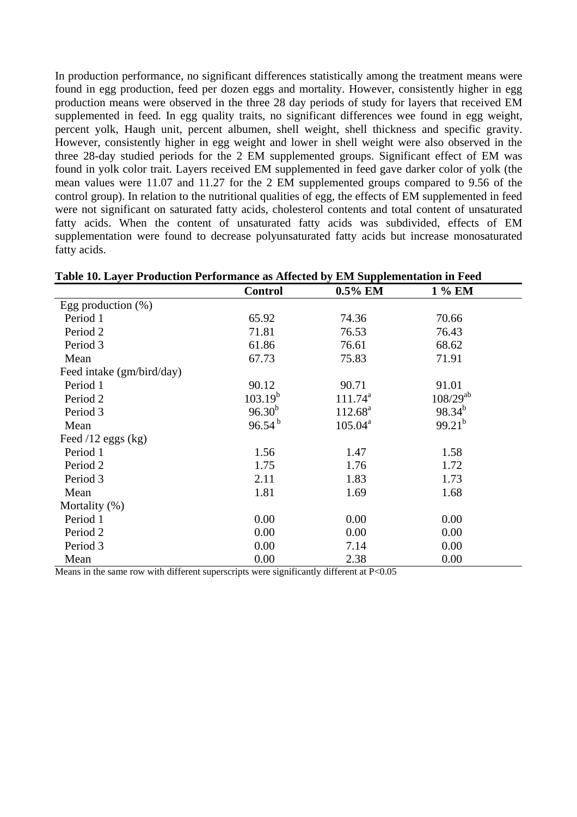In production performance, no significant differences statistically among the treatment means were found in egg production, feed per dozen eggs and mortality. However, consistently higher in egg production means were observed in the three 28 day periods of study for layers that received EM supplemented in feed. In egg quality traits, no significant differences wee found in egg weight, percent yolk, Haugh unit, percent albumen, shell weight, shell thickness and specific gravity. However, consistently higher in egg weight and lower in shell weight were also observed in the three 28-day studied periods for the 2 EM supplemented groups. Significant effect of EM was found in yolk color trait. Layers received EM supplemented in feed gave darker color of yolk (the mean values were 11.07 and 11.27 for the 2 EM supplemented groups compared to 9.56 of the control group). In relation to the nutritional qualities of egg, the effects of EM supplemented in feed were not significant on saturated fatty acids, cholesterol contents and total content of unsaturated fatty acids. When the content of unsaturated fatty acids was subdivided, effects of EM supplementation were found to decrease polyunsaturated fatty acids but increase monosaturated fatty acids.

| Table 10. Layer Production Performance as Affected by EM Supplementation in Feed |                |            |               |  |  |  |
|----------------------------------------------------------------------------------|----------------|------------|---------------|--|--|--|
|                                                                                  | <b>Control</b> | 0.5% EM    | 1 % EM        |  |  |  |
| Egg production $(\%)$                                                            |                |            |               |  |  |  |
| Period 1                                                                         | 65.92          | 74.36      | 70.66         |  |  |  |
| Period 2                                                                         | 71.81          | 76.53      | 76.43         |  |  |  |
| Period 3                                                                         | 61.86          | 76.61      | 68.62         |  |  |  |
| Mean                                                                             | 67.73          | 75.83      | 71.91         |  |  |  |
| Feed intake (gm/bird/day)                                                        |                |            |               |  |  |  |
| Period 1                                                                         | 90.12          | 90.71      | 91.01         |  |  |  |
| Period 2                                                                         | $103.19^{b}$   | $111.74^a$ | $108/29^{ab}$ |  |  |  |
| Period 3                                                                         | $96.30^{b}$    | $112.68^a$ | $98.34^{b}$   |  |  |  |
| Mean                                                                             | $96.54^{b}$    | $105.04^a$ | $99.21^{b}$   |  |  |  |
| Feed $/12$ eggs $(kg)$                                                           |                |            |               |  |  |  |
| Period 1                                                                         | 1.56           | 1.47       | 1.58          |  |  |  |
| Period 2                                                                         | 1.75           | 1.76       | 1.72          |  |  |  |
| Period 3                                                                         | 2.11           | 1.83       | 1.73          |  |  |  |
| Mean                                                                             | 1.81           | 1.69       | 1.68          |  |  |  |
| Mortality (%)                                                                    |                |            |               |  |  |  |
| Period 1                                                                         | 0.00           | 0.00       | 0.00          |  |  |  |
| Period 2                                                                         | 0.00           | 0.00       | 0.00          |  |  |  |
| Period 3                                                                         | 0.00           | 7.14       | 0.00          |  |  |  |
| Mean                                                                             | 0.00           | 2.38       | 0.00          |  |  |  |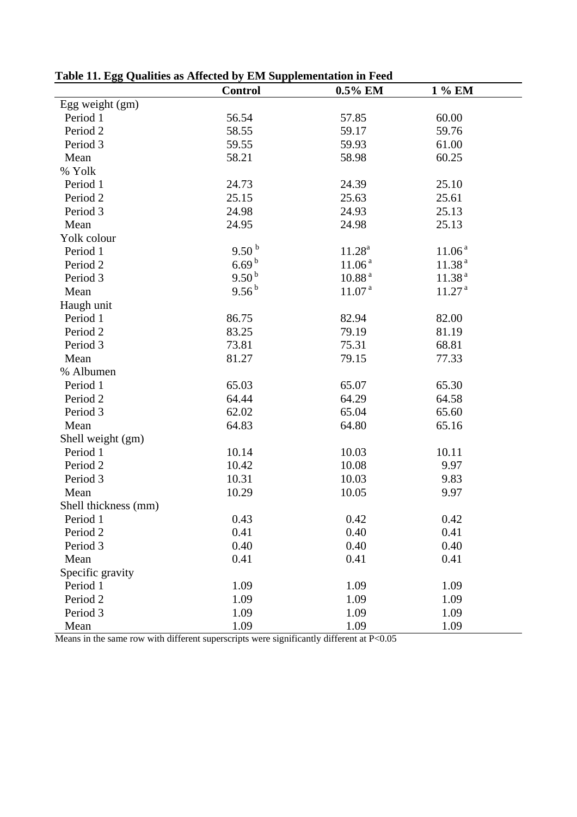|                      | <b>Control</b>        | 0.5% EM            | 1 % EM             |
|----------------------|-----------------------|--------------------|--------------------|
| Egg weight (gm)      |                       |                    |                    |
| Period 1             | 56.54                 | 57.85              | 60.00              |
| Period 2             | 58.55                 | 59.17              | 59.76              |
| Period 3             | 59.55                 | 59.93              | 61.00              |
| Mean                 | 58.21                 | 58.98              | 60.25              |
| % Yolk               |                       |                    |                    |
| Period 1             | 24.73                 | 24.39              | 25.10              |
| Period <sub>2</sub>  | 25.15                 | 25.63              | 25.61              |
| Period 3             | 24.98                 | 24.93              | 25.13              |
| Mean                 | 24.95                 | 24.98              | 25.13              |
| Yolk colour          |                       |                    |                    |
| Period 1             | 9.50 <sup>b</sup>     | 11.28 <sup>a</sup> | 11.06 <sup>a</sup> |
| Period 2             | $6.69^{b}$            | 11.06 <sup>a</sup> | 11.38 <sup>a</sup> |
| Period 3             | $9.50^{\,\mathrm{b}}$ | 10.88 <sup>a</sup> | 11.38 <sup>a</sup> |
| Mean                 | $9.56^{b}$            | 11.07 <sup>a</sup> | 11.27 <sup>a</sup> |
| Haugh unit           |                       |                    |                    |
| Period 1             | 86.75                 | 82.94              | 82.00              |
| Period 2             | 83.25                 | 79.19              | 81.19              |
| Period 3             | 73.81                 | 75.31              | 68.81              |
| Mean                 | 81.27                 | 79.15              | 77.33              |
| % Albumen            |                       |                    |                    |
| Period 1             | 65.03                 | 65.07              | 65.30              |
| Period 2             | 64.44                 | 64.29              | 64.58              |
| Period 3             | 62.02                 | 65.04              | 65.60              |
| Mean                 | 64.83                 | 64.80              | 65.16              |
| Shell weight (gm)    |                       |                    |                    |
| Period 1             | 10.14                 | 10.03              | 10.11              |
| Period 2             | 10.42                 | 10.08              | 9.97               |
| Period 3             | 10.31                 | 10.03              | 9.83               |
| Mean                 | 10.29                 | 10.05              | 9.97               |
| Shell thickness (mm) |                       |                    |                    |
| Period 1             | 0.43                  | 0.42               | 0.42               |
| Period 2             | 0.41                  | 0.40               | 0.41               |
| Period 3             | 0.40                  | 0.40               | 0.40               |
| Mean                 | 0.41                  | 0.41               | 0.41               |
| Specific gravity     |                       |                    |                    |
| Period 1             | 1.09                  | 1.09               | 1.09               |
| Period <sub>2</sub>  | 1.09                  | 1.09               | 1.09               |
| Period 3             | 1.09                  | 1.09               | 1.09               |
| Mean                 | 1.09                  | 1.09               | 1.09               |

**Table 11. Egg Qualities as Affected by EM Supplementation in Feed**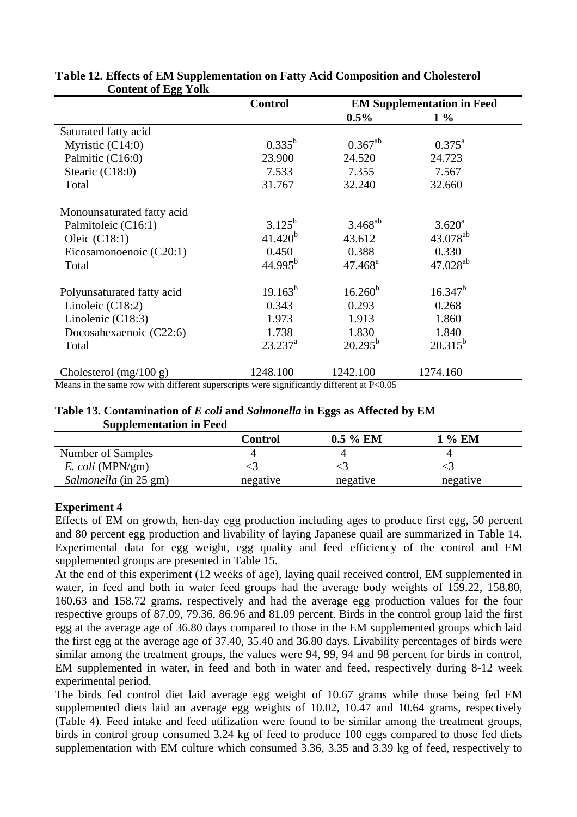|                            | <b>Control</b>   | <b>EM Supplementation in Feed</b> |                      |
|----------------------------|------------------|-----------------------------------|----------------------|
|                            |                  | $0.5\%$                           | $1\%$                |
| Saturated fatty acid       |                  |                                   |                      |
| Myristic (C14:0)           | $0.335^{b}$      | $0.367^{ab}$                      | $0.375^{\text{a}}$   |
| Palmitic (C16:0)           | 23.900           | 24.520                            | 24.723               |
| Stearic (C18:0)            | 7.533            | 7.355                             | 7.567                |
| Total                      | 31.767           | 32.240                            | 32.660               |
| Monounsaturated fatty acid |                  |                                   |                      |
| Palmitoleic (C16:1)        | $3.125^{b}$      | $3.468^{ab}$                      | $3.620^a$            |
| Oleic $(C18:1)$            | $41.420^{b}$     | 43.612                            | 43.078 <sup>ab</sup> |
| Eicosamonoenoic (C20:1)    | 0.450            | 0.388                             | 0.330                |
| Total                      | $44.995^b$       | $47.468^a$                        | $47.028^{ab}$        |
| Polyunsaturated fatty acid | $19.163^{b}$     | $16.260^{b}$                      | $16.347^{b}$         |
| Linoleic $(C18:2)$         | 0.343            | 0.293                             | 0.268                |
| Linolenic $(C18:3)$        | 1.973            | 1.913                             | 1.860                |
| Docosahexaenoic (C22:6)    | 1.738            | 1.830                             | 1.840                |
| Total                      | $23.237^{\rm a}$ | $20.295^{\rm b}$                  | $20.315^{b}$         |
| Cholesterol $(mg/100 g)$   | 1248.100         | 1242.100                          | 1274.160             |

## **Table 12. Effects of EM Supplementation on Fatty Acid Composition and Cholesterol Content of Egg Yolk**

Means in the same row with different superscripts were significantly different at  $P<0.05$ 

### **Table 13. Contamination of** *E coli* **and** *Salmonella* **in Eggs as Affected by EM Supplementation in Feed**

|                       | Control  | $0.5\%$ EM | $%$ EM   |
|-----------------------|----------|------------|----------|
| Number of Samples     |          |            |          |
| $E.$ coli (MPN/gm)    |          |            |          |
| Salmonella (in 25 gm) | negative | negative   | negative |

# **Experiment 4**

Effects of EM on growth, hen-day egg production including ages to produce first egg, 50 percent and 80 percent egg production and livability of laying Japanese quail are summarized in Table 14. Experimental data for egg weight, egg quality and feed efficiency of the control and EM supplemented groups are presented in Table 15.

At the end of this experiment (12 weeks of age), laying quail received control, EM supplemented in water, in feed and both in water feed groups had the average body weights of 159.22, 158.80, 160.63 and 158.72 grams, respectively and had the average egg production values for the four respective groups of 87.09, 79.36, 86.96 and 81.09 percent. Birds in the control group laid the first egg at the average age of 36.80 days compared to those in the EM supplemented groups which laid the first egg at the average age of 37.40, 35.40 and 36.80 days. Livability percentages of birds were similar among the treatment groups, the values were 94, 99, 94 and 98 percent for birds in control, EM supplemented in water, in feed and both in water and feed, respectively during 8-12 week experimental period.

The birds fed control diet laid average egg weight of 10.67 grams while those being fed EM supplemented diets laid an average egg weights of 10.02, 10.47 and 10.64 grams, respectively (Table 4). Feed intake and feed utilization were found to be similar among the treatment groups, birds in control group consumed 3.24 kg of feed to produce 100 eggs compared to those fed diets supplementation with EM culture which consumed 3.36, 3.35 and 3.39 kg of feed, respectively to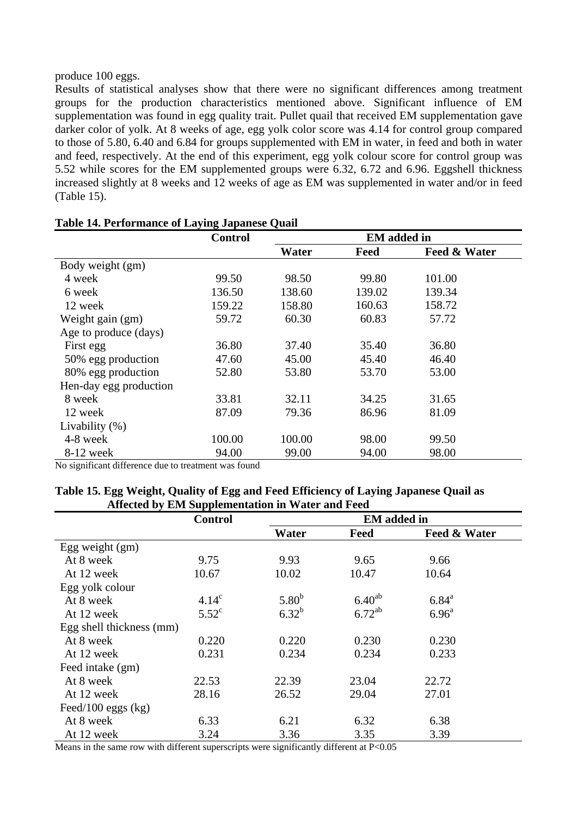produce 100 eggs.

Results of statistical analyses show that there were no significant differences among treatment groups for the production characteristics mentioned above. Significant influence of EM supplementation was found in egg quality trait. Pullet quail that received EM supplementation gave darker color of yolk. At 8 weeks of age, egg yolk color score was 4.14 for control group compared to those of 5.80, 6.40 and 6.84 for groups supplemented with EM in water, in feed and both in water and feed, respectively. At the end of this experiment, egg yolk colour score for control group was 5.52 while scores for the EM supplemented groups were 6.32, 6.72 and 6.96. Eggshell thickness increased slightly at 8 weeks and 12 weeks of age as EM was supplemented in water and/or in feed (Table 15).

|                        | <b>Control</b> | <b>EM</b> added in |        |                         |
|------------------------|----------------|--------------------|--------|-------------------------|
|                        |                | Water              | Feed   | <b>Feed &amp; Water</b> |
| Body weight (gm)       |                |                    |        |                         |
| 4 week                 | 99.50          | 98.50              | 99.80  | 101.00                  |
| 6 week                 | 136.50         | 138.60             | 139.02 | 139.34                  |
| 12 week                | 159.22         | 158.80             | 160.63 | 158.72                  |
| Weight gain (gm)       | 59.72          | 60.30              | 60.83  | 57.72                   |
| Age to produce (days)  |                |                    |        |                         |
| First egg              | 36.80          | 37.40              | 35.40  | 36.80                   |
| 50% egg production     | 47.60          | 45.00              | 45.40  | 46.40                   |
| 80% egg production     | 52.80          | 53.80              | 53.70  | 53.00                   |
| Hen-day egg production |                |                    |        |                         |
| 8 week                 | 33.81          | 32.11              | 34.25  | 31.65                   |
| 12 week                | 87.09          | 79.36              | 86.96  | 81.09                   |
| Livability $(\%)$      |                |                    |        |                         |
| 4-8 week               | 100.00         | 100.00             | 98.00  | 99.50                   |
| 8-12 week              | 94.00          | 99.00              | 94.00  | 98.00                   |

#### **Table 14. Performance of Laying Japanese Quail**

No significant difference due to treatment was found

| Table 15. Egg Weight, Quality of Egg and Feed Efficiency of Laying Japanese Quail as |  |
|--------------------------------------------------------------------------------------|--|
| Affected by EM Supplementation in Water and Feed                                     |  |

|                          | <b>Control</b> | <b>EM</b> added in |             |                   |
|--------------------------|----------------|--------------------|-------------|-------------------|
|                          |                | Water              | Feed        | Feed & Water      |
| Egg weight $(gm)$        |                |                    |             |                   |
| At 8 week                | 9.75           | 9.93               | 9.65        | 9.66              |
| At 12 week               | 10.67          | 10.02              | 10.47       | 10.64             |
| Egg yolk colour          |                |                    |             |                   |
| At 8 week                | $4.14^c$       | $5.80^{b}$         | $6.40^{ab}$ | $6.84^{\circ}$    |
| At 12 week               | $5.52^{\circ}$ | $6.32^{b}$         | $6.72^{ab}$ | 6.96 <sup>a</sup> |
| Egg shell thickness (mm) |                |                    |             |                   |
| At 8 week                | 0.220          | 0.220              | 0.230       | 0.230             |
| At 12 week               | 0.231          | 0.234              | 0.234       | 0.233             |
| Feed intake (gm)         |                |                    |             |                   |
| At 8 week                | 22.53          | 22.39              | 23.04       | 22.72             |
| At 12 week               | 28.16          | 26.52              | 29.04       | 27.01             |
| Feed/100 eggs $(kg)$     |                |                    |             |                   |
| At 8 week                | 6.33           | 6.21               | 6.32        | 6.38              |
| At 12 week               | 3.24           | 3.36               | 3.35        | 3.39              |